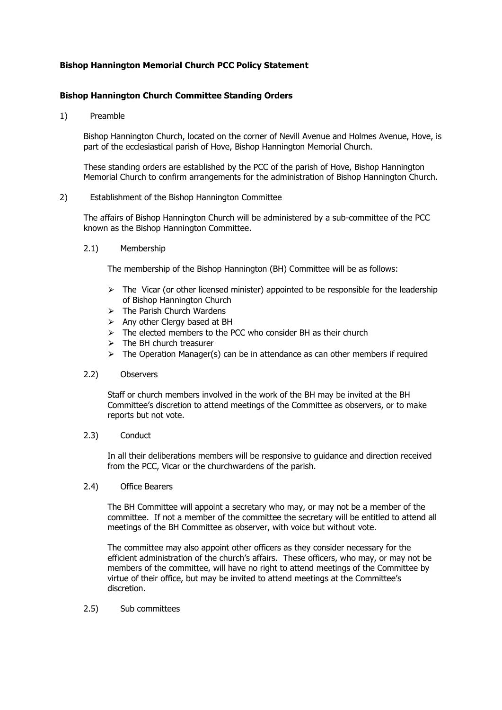# **Bishop Hannington Memorial Church PCC Policy Statement**

# **Bishop Hannington Church Committee Standing Orders**

1) Preamble

Bishop Hannington Church, located on the corner of Nevill Avenue and Holmes Avenue, Hove, is part of the ecclesiastical parish of Hove, Bishop Hannington Memorial Church.

These standing orders are established by the PCC of the parish of Hove, Bishop Hannington Memorial Church to confirm arrangements for the administration of Bishop Hannington Church.

## 2) Establishment of the Bishop Hannington Committee

The affairs of Bishop Hannington Church will be administered by a sub-committee of the PCC known as the Bishop Hannington Committee.

2.1) Membership

The membership of the Bishop Hannington (BH) Committee will be as follows:

- $\triangleright$  The Vicar (or other licensed minister) appointed to be responsible for the leadership of Bishop Hannington Church
- $\triangleright$  The Parish Church Wardens
- $\triangleright$  Any other Clergy based at BH
- $\triangleright$  The elected members to the PCC who consider BH as their church
- $\triangleright$  The BH church treasurer
- $\triangleright$  The Operation Manager(s) can be in attendance as can other members if required
- 2.2) Observers

Staff or church members involved in the work of the BH may be invited at the BH Committee's discretion to attend meetings of the Committee as observers, or to make reports but not vote.

#### 2.3) Conduct

In all their deliberations members will be responsive to guidance and direction received from the PCC, Vicar or the churchwardens of the parish.

# 2.4) Office Bearers

The BH Committee will appoint a secretary who may, or may not be a member of the committee. If not a member of the committee the secretary will be entitled to attend all meetings of the BH Committee as observer, with voice but without vote.

The committee may also appoint other officers as they consider necessary for the efficient administration of the church's affairs. These officers, who may, or may not be members of the committee, will have no right to attend meetings of the Committee by virtue of their office, but may be invited to attend meetings at the Committee's discretion.

# 2.5) Sub committees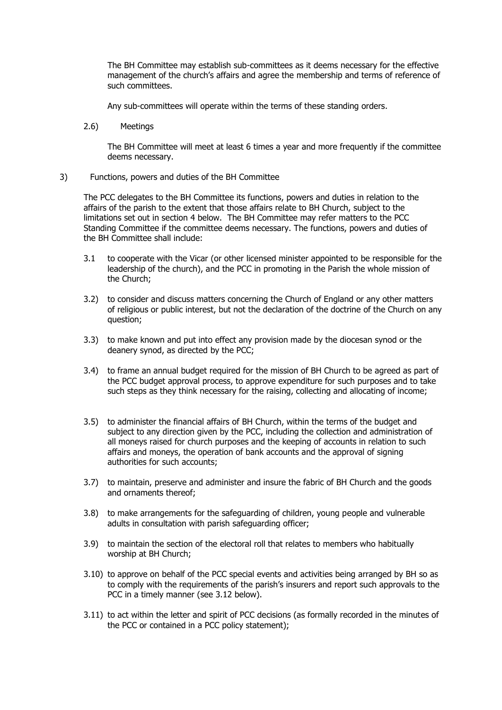The BH Committee may establish sub-committees as it deems necessary for the effective management of the church's affairs and agree the membership and terms of reference of such committees.

Any sub-committees will operate within the terms of these standing orders.

2.6) Meetings

The BH Committee will meet at least 6 times a year and more frequently if the committee deems necessary.

3) Functions, powers and duties of the BH Committee

The PCC delegates to the BH Committee its functions, powers and duties in relation to the affairs of the parish to the extent that those affairs relate to BH Church, subject to the limitations set out in section 4 below. The BH Committee may refer matters to the PCC Standing Committee if the committee deems necessary. The functions, powers and duties of the BH Committee shall include:

- 3.1 to cooperate with the Vicar (or other licensed minister appointed to be responsible for the leadership of the church), and the PCC in promoting in the Parish the whole mission of the Church;
- 3.2) to consider and discuss matters concerning the Church of England or any other matters of religious or public interest, but not the declaration of the doctrine of the Church on any question;
- 3.3) to make known and put into effect any provision made by the diocesan synod or the deanery synod, as directed by the PCC;
- 3.4) to frame an annual budget required for the mission of BH Church to be agreed as part of the PCC budget approval process, to approve expenditure for such purposes and to take such steps as they think necessary for the raising, collecting and allocating of income;
- 3.5) to administer the financial affairs of BH Church, within the terms of the budget and subject to any direction given by the PCC, including the collection and administration of all moneys raised for church purposes and the keeping of accounts in relation to such affairs and moneys, the operation of bank accounts and the approval of signing authorities for such accounts;
- 3.7) to maintain, preserve and administer and insure the fabric of BH Church and the goods and ornaments thereof;
- 3.8) to make arrangements for the safeguarding of children, young people and vulnerable adults in consultation with parish safeguarding officer;
- 3.9) to maintain the section of the electoral roll that relates to members who habitually worship at BH Church;
- 3.10) to approve on behalf of the PCC special events and activities being arranged by BH so as to comply with the requirements of the parish's insurers and report such approvals to the PCC in a timely manner (see 3.12 below).
- 3.11) to act within the letter and spirit of PCC decisions (as formally recorded in the minutes of the PCC or contained in a PCC policy statement);